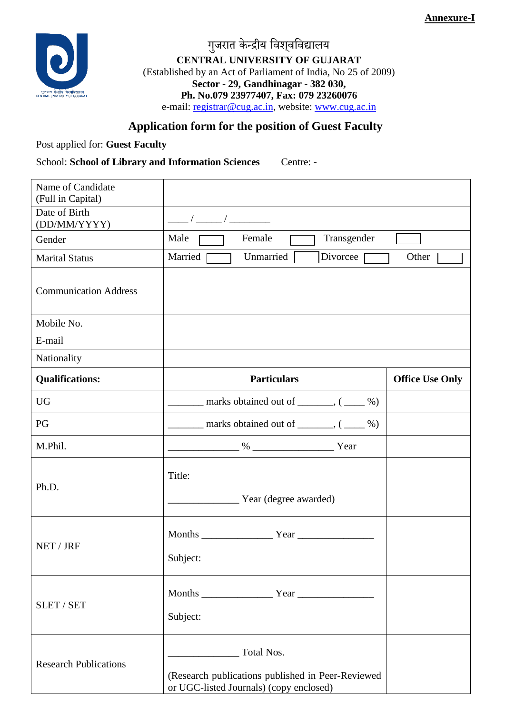**Annexure-I**



गुजरात केन्द्रीय विश्**वविद्यालय CENTRAL UNIVERSITY OF GUJARAT** (Established by an Act of Parliament of India, No 25 of 2009) **Sector - 29, Gandhinagar - 382 030, Ph. No.079 23977407, Fax: 079 23260076** e-mail: [registrar@cug.ac.in,](mailto:registrar@cug.ac.in) website: [www.cug.ac.in](http://www.cug.ac.in/)

## **Application form for the position of Guest Faculty**

Post applied for: **Guest Faculty**

School: **School of Library and Information Sciences** Centre: **-**

| Name of Candidate<br>(Full in Capital) |                                                                                                            |                        |
|----------------------------------------|------------------------------------------------------------------------------------------------------------|------------------------|
| Date of Birth<br>(DD/MM/YYYY)          |                                                                                                            |                        |
| Gender                                 | Female<br>Transgender<br>Male                                                                              |                        |
| <b>Marital Status</b>                  | Married<br>Divorcee<br>Unmarried                                                                           | Other                  |
| <b>Communication Address</b>           |                                                                                                            |                        |
| Mobile No.                             |                                                                                                            |                        |
| E-mail                                 |                                                                                                            |                        |
| Nationality                            |                                                                                                            |                        |
| <b>Qualifications:</b>                 | <b>Particulars</b>                                                                                         | <b>Office Use Only</b> |
| <b>UG</b>                              | marks obtained out of $\_\_\_\_\_$ , ( $\_\_\_\%$ )                                                        |                        |
| PG                                     | $\frac{1}{2}$ marks obtained out of $\frac{1}{2}$ , $\frac{1}{2}$                                          |                        |
| M.Phil.                                | $\%$ Year                                                                                                  |                        |
| Ph.D.                                  | Title:<br><u>Near</u> (degree awarded)                                                                     |                        |
| NET / JRF                              | Subject:                                                                                                   |                        |
| <b>SLET / SET</b>                      | Subject:                                                                                                   |                        |
| <b>Research Publications</b>           | Total Nos.<br>(Research publications published in Peer-Reviewed<br>or UGC-listed Journals) (copy enclosed) |                        |